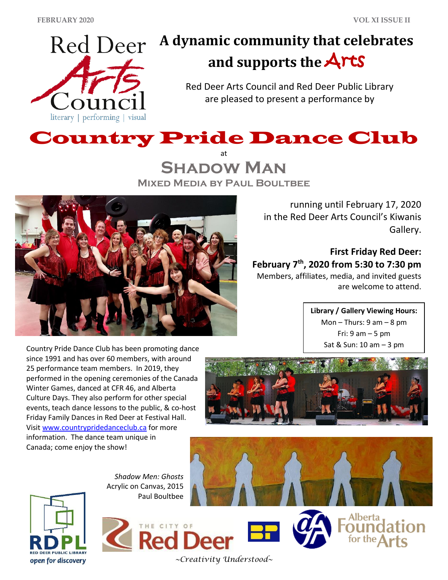

# **A dynamic community that celebrates and supports the** Arts

Red Deer Arts Council and Red Deer Public Library are pleased to present a performance by



at **Shadow Man Mixed Media by Paul Boultbee**



running until February 17, 2020 in the Red Deer Arts Council's Kiwanis Gallery.

**First Friday Red Deer: February 7th, 2020 from 5:30 to 7:30 pm** Members, affiliates, media, and invited guests are welcome to attend.

> **Library / Gallery Viewing Hours:** Mon – Thurs:  $9 \text{ am} - 8 \text{ pm}$ Fri:  $9$  am  $-5$  pm Sat & Sun: 10 am – 3 pm

Country Pride Dance Club has been promoting dance since 1991 and has over 60 members, with around 25 performance team members. In 2019, they performed in the opening ceremonies of the Canada Winter Games, danced at CFR 46, and Alberta Culture Days. They also perform for other special events, teach dance lessons to the public, & co-host Friday Family Dances in Red Deer at Festival Hall. Visit [www.countrypridedanceclub.ca](http://www.countrypridedanceclub.ca/) for more information. The dance team unique in Canada; come enjoy the show!







THE CITY OF **Red I** 



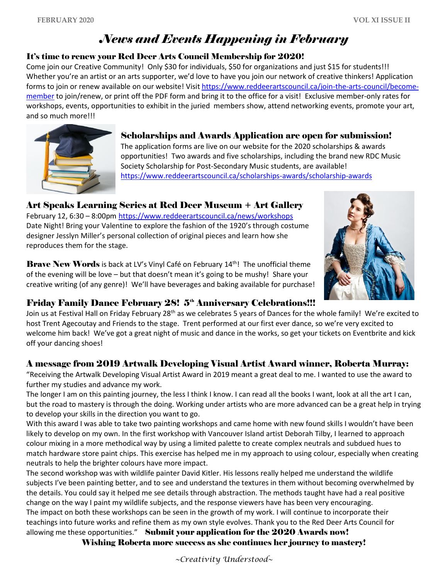## *News and Events Happening in February*

#### It's time to renew your Red Deer Arts Council Membership for 2020!

Come join our Creative Community! Only \$30 for individuals, \$50 for organizations and just \$15 for students!!! Whether you're an artist or an arts supporter, we'd love to have you join our network of creative thinkers! Application forms to join or renew available on our website! Visit [https://www.reddeerartscouncil.ca/join-the-arts-council/become](https://www.reddeerartscouncil.ca/join-the-arts-council/become-member)[member](https://www.reddeerartscouncil.ca/join-the-arts-council/become-member) to join/renew, or print off the PDF form and bring it to the office for a visit! Exclusive member-only rates for workshops, events, opportunities to exhibit in the juried members show, attend networking events, promote your art, and so much more!!!



Scholarships and Awards Application are open for submission! The application forms are live on our website for the 2020 scholarships & awards opportunities! Two awards and five scholarships, including the brand new RDC Music Society Scholarship for Post-Secondary Music students, are available! <https://www.reddeerartscouncil.ca/scholarships-awards/scholarship-awards>

## Art Speaks Learning Series at Red Deer Museum + Art Gallery

February 12, 6:30 – 8:00pm <https://www.reddeerartscouncil.ca/news/workshops> Date Night! Bring your Valentine to explore the fashion of the 1920's through costume designer Jesslyn Miller's personal collection of original pieces and learn how she reproduces them for the stage.

**Brave New Words** is back at LV's Vinyl Café on February  $14<sup>th</sup>$ ! The unofficial theme of the evening will be love – but that doesn't mean it's going to be mushy! Share your creative writing (of any genre)! We'll have beverages and baking available for purchase!



#### Friday Family Dance February 28! 5<sup>th</sup> Anniversary Celebrations!!!

Join us at Festival Hall on Friday February 28<sup>th</sup> as we celebrates 5 years of Dances for the whole family! We're excited to host Trent Agecoutay and Friends to the stage. Trent performed at our first ever dance, so we're very excited to welcome him back! We've got a great night of music and dance in the works, so get your tickets on Eventbrite and kick off your dancing shoes!

#### A message from 2019 Artwalk Developing Visual Artist Award winner, Roberta Murray:

"Receiving the Artwalk Developing Visual Artist Award in 2019 meant a great deal to me. I wanted to use the award to further my studies and advance my work.

The longer I am on this painting journey, the less I think I know. I can read all the books I want, look at all the art I can, but the road to mastery is through the doing. Working under artists who are more advanced can be a great help in trying to develop your skills in the direction you want to go.

With this award I was able to take two painting workshops and came home with new found skills I wouldn't have been likely to develop on my own. In the first workshop with Vancouver Island artist Deborah Tilby, I learned to approach colour mixing in a more methodical way by using a limited palette to create complex neutrals and subdued hues to match hardware store paint chips. This exercise has helped me in my approach to using colour, especially when creating neutrals to help the brighter colours have more impact.

The second workshop was with wildlife painter David Kitler. His lessons really helped me understand the wildlife subjects I've been painting better, and to see and understand the textures in them without becoming overwhelmed by the details. You could say it helped me see details through abstraction. The methods taught have had a real positive change on the way I paint my wildlife subjects, and the response viewers have has been very encouraging. The impact on both these workshops can be seen in the growth of my work. I will continue to incorporate their teachings into future works and refine them as my own style evolves. Thank you to the Red Deer Arts Council for allowing me these opportunities." Submit your application for the 2020 Awards now!

Wishing Roberta more success as she continues her journey to mastery!

*~Creativity Understood~*